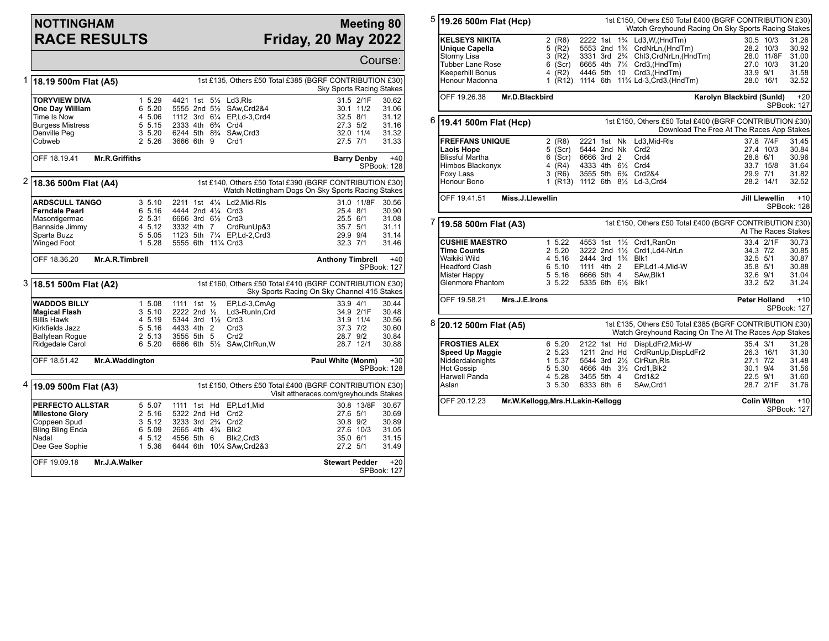## **NOTTINGHAM RACE RESULTS**

## **Meeting 80 Friday, 20 May 2022**

Course:

| 1 | 18.19 500m Flat (A5)    |                       |                                             |  |                                                 | 1st £135, Others £50 Total £385 (BGRF CONTRIBUTION £30)<br><b>Sky Sports Racing Stakes</b>                   |                    |                             |
|---|-------------------------|-----------------------|---------------------------------------------|--|-------------------------------------------------|--------------------------------------------------------------------------------------------------------------|--------------------|-----------------------------|
|   | <b>TORYVIEW DIVA</b>    | 1 5.29                |                                             |  | 4421 1st 51/2 Ld3.Rls                           |                                                                                                              | 31.5 2/1F          | 30.62                       |
|   | One Day William         | 6 5.20                |                                             |  | 5555 2nd 51/2 SAw, Crd2&4                       |                                                                                                              | 30.1 11/2          | 31.06                       |
|   | Time Is Now             | 4 5.06                |                                             |  | 1112 3rd 61/4 EP,Ld-3,Crd4                      |                                                                                                              | 32.5 8/1           | 31.12                       |
|   | <b>Burgess Mistress</b> | 5 5.15                | 2333 4th 6 <sup>3</sup> / <sub>4</sub> Crd4 |  |                                                 |                                                                                                              | 27.3 5/2           | 31.16                       |
|   | Denville Peg            | 3 5.20                |                                             |  | 6244 5th 8 <sup>3</sup> / <sub>4</sub> SAw.Crd3 |                                                                                                              | 32.0 11/4          | 31.32                       |
|   | Cobweb                  | 2 5.26                | 3666 6th 9                                  |  | Crd1                                            | 27.5 7/1                                                                                                     |                    | 31.33                       |
|   |                         |                       |                                             |  |                                                 |                                                                                                              |                    |                             |
|   | OFF 18.19.41            | <b>Mr.R.Griffiths</b> |                                             |  |                                                 |                                                                                                              | <b>Barry Denby</b> | $+40$                       |
|   |                         |                       |                                             |  |                                                 |                                                                                                              |                    | SPBook: 128                 |
| 2 | 18.36 500m Flat (A4)    |                       |                                             |  |                                                 | 1st £140, Others £50 Total £390 (BGRF CONTRIBUTION £30)<br>Watch Nottingham Dogs On Sky Sports Racing Stakes |                    |                             |
|   | <b>ARDSCULL TANGO</b>   | 3, 5.10               |                                             |  | 2211 1st 41/4 Ld2.Mid-RIs                       |                                                                                                              | 31.0 11/8F         | 30.56                       |
|   | <b>Ferndale Pearl</b>   | 6 5.16                | 4444 2nd 41/4 Crd3                          |  |                                                 | 25.4 8/1                                                                                                     |                    | 30.90                       |
|   | Masontigermac           | 2 5.31                | 6666 3rd 61/2 Crd3                          |  |                                                 | 25.5 6/1                                                                                                     |                    | 31.08                       |
|   | Bannside Jimmy          | 4 5.12                | 3332 4th 7                                  |  | CrdRunUp&3                                      | 35.7 5/1                                                                                                     |                    | 31.11                       |
|   | Sparta Buzz             | 5 5.05                |                                             |  | 1123 5th 71/4 EP,Ld-2,Crd3                      | 29.9 9/4                                                                                                     |                    | 31.14                       |
|   | Winged Foot             | 1, 5.28               | 5555 6th 111/4 Crd3                         |  |                                                 | $32.3$ $7/1$                                                                                                 |                    | 31.46                       |
|   | OFF 18.36.20            | Mr.A.R.Timbrell       |                                             |  |                                                 | <b>Anthony Timbrell</b>                                                                                      |                    | $+40$<br><b>SPBook: 127</b> |
|   |                         |                       |                                             |  |                                                 |                                                                                                              |                    |                             |
| 3 | 18.51 500m Flat (A2)    |                       |                                             |  |                                                 | 1st £160, Others £50 Total £410 (BGRF CONTRIBUTION £30)<br>Sky Sports Racing On Sky Channel 415 Stakes       |                    |                             |
|   | <b>WADDOS BILLY</b>     | 1 5.08                | 1111 1st $\frac{1}{2}$                      |  | EP,Ld-3,CmAq                                    | 33.9 4/1                                                                                                     |                    | 30.44                       |
|   | <b>Magical Flash</b>    | 3, 5.10               | 2222 2nd 1/2                                |  | Ld3-RunIn, Crd                                  |                                                                                                              | 34.9 2/1F          | 30.48                       |
|   | <b>Billis Hawk</b>      | 4 5.19                | 5344 3rd 11/2 Crd3                          |  |                                                 |                                                                                                              | 31.9 11/4          | 30.56                       |
|   | Kirkfields Jazz         | 5, 5.16               | 4433 4th 2                                  |  | Crd <sub>3</sub>                                |                                                                                                              | 37.3 7/2           | 30.60                       |
|   | <b>Ballylean Roque</b>  | 2 5.13                | 3555 5th 5                                  |  | Crd <sub>2</sub>                                | 28.7 9/2                                                                                                     |                    | 30.84                       |
|   | Ridgedale Carol         | 6 5.20                |                                             |  | 6666 6th 51/2 SAw, ClrRun, W                    |                                                                                                              | 28.7 12/1          | 30.88                       |
|   | OFF 18.51.42            | Mr.A.Waddington       |                                             |  |                                                 | Paul White (Monm)                                                                                            |                    | $+30$<br>SPBook: 128        |
| 4 | 19.09 500m Flat (A3)    |                       |                                             |  |                                                 | 1st £150, Others £50 Total £400 (BGRF CONTRIBUTION £30)<br>Visit attheraces.com/greyhounds Stakes            |                    |                             |
|   | <b>PERFECTO ALLSTAR</b> | 5 5.07                | 1111 1st Hd                                 |  | EP,Ld1,Mid                                      |                                                                                                              | 30.8 13/8F         | 30.67                       |
|   | <b>Milestone Glory</b>  | 2, 5.16               | 5322 2nd Hd                                 |  | Crd <sub>2</sub>                                | 27.6 5/1                                                                                                     |                    | 30.69                       |
|   | Coppeen Spud            | 3, 5.12               | 3233 3rd 2 <sup>3</sup> / <sub>4</sub> Crd2 |  |                                                 | 30.8 9/2                                                                                                     |                    | 30.89                       |
|   | <b>Bling Bling Enda</b> | 6 5.09                | 2665 4th 43/4 Blk2                          |  |                                                 |                                                                                                              | 27.6 10/3          | 31.05                       |
|   | Nadal                   | 4 5.12                | 4556 5th 6                                  |  | Blk2, Crd3                                      | 35.0 6/1                                                                                                     |                    | 31.15                       |
|   | Dee Gee Sophie          | 1 5.36                |                                             |  | 6444 6th 101/4 SAw, Crd2&3                      | 27.2 5/1                                                                                                     |                    | 31.49                       |

| 5                                                                                     | 19.26 500m Flat (Hcp)            |   |           |                                             |  |  | 1st £150, Others £50 Total £400 (BGRF CONTRIBUTION £30)<br>Watch Greyhound Racing On Sky Sports Racing Stakes    |                                           |                       |                      |
|---------------------------------------------------------------------------------------|----------------------------------|---|-----------|---------------------------------------------|--|--|------------------------------------------------------------------------------------------------------------------|-------------------------------------------|-----------------------|----------------------|
|                                                                                       | <b>KELSEYS NIKITA</b>            |   | 2 (R8)    |                                             |  |  | 2222 1st 1 <sup>3</sup> / <sub>4</sub> Ld3, W, (HndTm)                                                           |                                           | 30.5 10/3             | 31.26                |
|                                                                                       | <b>Unique Capella</b>            |   | 5(R2)     |                                             |  |  | 5553 2nd 1 <sup>3</sup> / <sub>4</sub> CrdNrLn, (HndTm)                                                          |                                           | 28.2 10/3             | 30.92                |
|                                                                                       | Stormy Lisa                      |   | 3(R2)     |                                             |  |  | 3331 3rd 2 <sup>3</sup> / <sub>4</sub> Chl3, CrdNrLn, (HndTm)                                                    |                                           | 28.0 11/8F            | 31.00                |
|                                                                                       | <b>Tubber Lane Rose</b>          |   | $6$ (Scr) |                                             |  |  | 6665 4th 71/4 Crd3, (HndTm)                                                                                      |                                           | 27.0 10/3             | 31.20                |
|                                                                                       | <b>Keeperhill Bonus</b>          |   | 4 $(R2)$  |                                             |  |  | 4446 5th 10 Crd3, (HndTm)                                                                                        |                                           | 33.9 9/1              | 31.58                |
|                                                                                       | Honour Madonna                   |   |           |                                             |  |  | 1 (R12) 1114 6th 11 <sup>3</sup> / <sub>4</sub> Ld-3, Crd3, (HndTm)                                              |                                           | 28.0 16/1             | 32.52                |
|                                                                                       |                                  |   |           |                                             |  |  |                                                                                                                  |                                           |                       |                      |
|                                                                                       | OFF 19.26.38<br>Mr.D.Blackbird   |   |           |                                             |  |  |                                                                                                                  | Karolyn Blackbird (Sunld)                 |                       | $+20$<br>SPBook: 127 |
|                                                                                       |                                  |   |           |                                             |  |  |                                                                                                                  |                                           |                       |                      |
| 6<br>1st £150, Others £50 Total £400 (BGRF CONTRIBUTION £30)<br>19.41 500m Flat (Hcp) |                                  |   |           |                                             |  |  |                                                                                                                  | Download The Free At The Races App Stakes |                       |                      |
|                                                                                       | <b>FREFFANS UNIQUE</b>           |   | $2$ (R8)  | 2221 1st Nk                                 |  |  | Ld3, Mid-RIs                                                                                                     |                                           | 37.8 7/4F             | 31.45                |
|                                                                                       | <b>Laois Hope</b>                | 5 | (Scr)     | 5444 2nd Nk Crd2                            |  |  |                                                                                                                  |                                           | 27.4 10/3             | 30.84                |
|                                                                                       | <b>Blissful Martha</b>           |   | $6$ (Scr) | 6666 3rd 2                                  |  |  | Crd4                                                                                                             |                                           | 28.8 6/1              | 30.96                |
|                                                                                       | Himbos Blackonvx                 |   | 4(R4)     | 4333 4th 61/2 Crd4                          |  |  |                                                                                                                  |                                           | 33.7 15/8             | 31.64                |
|                                                                                       | Foxy Lass                        |   | $3$ (R6)  |                                             |  |  | 3555 5th 6 <sup>3</sup> / <sub>4</sub> Crd2&4                                                                    |                                           | 29.9 7/1              | 31.82                |
|                                                                                       | Honour Bono                      |   |           |                                             |  |  | 1 (R13) 1112 6th 81/2 Ld-3, Crd4                                                                                 |                                           | 28.2 14/1             | 32.52                |
|                                                                                       | OFF 19.41.51<br>Miss.J.Llewellin |   |           |                                             |  |  |                                                                                                                  |                                           | <b>Jill Llewellin</b> | $+10$<br>SPBook: 128 |
| 7                                                                                     | 19.58 500m Flat (A3)             |   |           |                                             |  |  | 1st £150, Others £50 Total £400 (BGRF CONTRIBUTION £30)                                                          |                                           | At The Races Stakes   |                      |
|                                                                                       | <b>CUSHIE MAESTRO</b>            |   | 15.22     |                                             |  |  | 4553 1st 11/2 Crd1.RanOn                                                                                         |                                           | 33.4 2/1F             | 30.73                |
|                                                                                       | <b>Time Counts</b>               |   | 2 5.20    |                                             |  |  | 3222 2nd 11/2 Crd1.Ld4-NrLn                                                                                      | 34.3 7/2                                  |                       | 30.85                |
|                                                                                       | Waikiki Wild                     |   | 4 5.16    | 2444 3rd 1 <sup>3</sup> / <sub>4</sub> Blk1 |  |  |                                                                                                                  | 32.5 5/1                                  |                       | 30.87                |
|                                                                                       | <b>Headford Clash</b>            |   | 6 5.10    | 1111 4th 2                                  |  |  | EP,Ld1-4,Mid-W                                                                                                   | $35.8$ $5/1$                              |                       | 30.88                |
|                                                                                       | <b>Mister Happy</b>              |   | 5 5.16    | 6666 5th 4                                  |  |  | SAw, Blk1                                                                                                        | 32.6 9/1                                  |                       | 31.04                |
|                                                                                       | Glenmore Phantom                 |   | 3, 5.22   | 5335 6th 61/2 Blk1                          |  |  |                                                                                                                  | 33.2 5/2                                  |                       | 31.24                |
|                                                                                       | OFF 19.58.21<br>Mrs.J.E.Irons    |   |           |                                             |  |  |                                                                                                                  |                                           | <b>Peter Holland</b>  | $+10$<br>SPBook: 127 |
| 8                                                                                     | 20.12 500m Flat (A5)             |   |           |                                             |  |  | 1st £135, Others £50 Total £385 (BGRF CONTRIBUTION £30)<br>Watch Greyhound Racing On The At The Races App Stakes |                                           |                       |                      |
|                                                                                       | <b>FROSTIES ALEX</b>             |   | 6 5.20    | 2122 1st Hd                                 |  |  | DispLdFr2, Mid-W                                                                                                 | 35.4 3/1                                  |                       | 31.28                |
|                                                                                       | Speed Up Maggie                  |   | 2 5.23    | 1211 2nd Hd                                 |  |  | CrdRunUp, DispLdFr2                                                                                              |                                           | 26.3 16/1             | 31.30                |
|                                                                                       | Nidderdalenights                 |   | 1 5.37    |                                             |  |  | 5544 3rd 21/2 ClrRun, RIs                                                                                        | 27.1 7/2                                  |                       | 31.48                |
|                                                                                       | <b>Hot Gossip</b>                |   | 5 5.30    |                                             |  |  | 4666 4th 31/2 Crd1, Blk2                                                                                         | 30.1 9/4                                  |                       | 31.56                |
|                                                                                       | Harwell Panda                    |   | 4 5.28    | 3455 5th 4                                  |  |  | Crd1&2                                                                                                           | 22.5 9/1                                  |                       | 31.60                |
|                                                                                       | Aslan                            |   | 3 5.30    | 6333 6th 6                                  |  |  | SAw, Crd1                                                                                                        |                                           | 28.7 2/1F             | 31.76                |
|                                                                                       |                                  |   |           |                                             |  |  |                                                                                                                  |                                           |                       |                      |